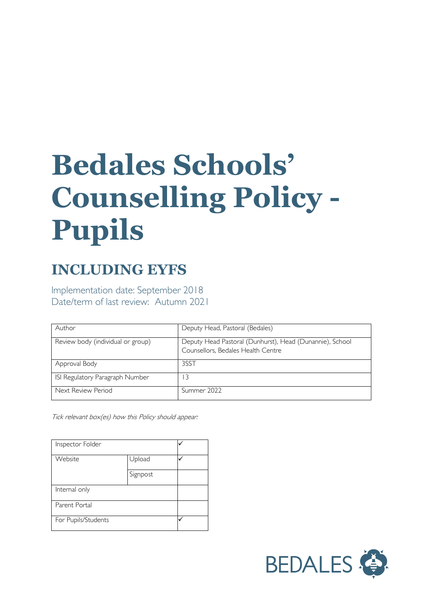# **Bedales Schools' Counselling Policy - Pupils**

# **INCLUDING EYFS**

Implementation date: September 2018 Date/term of last review: Autumn 2021

| Author                            | Deputy Head, Pastoral (Bedales)                                                                |
|-----------------------------------|------------------------------------------------------------------------------------------------|
| Review body (individual or group) | Deputy Head Pastoral (Dunhurst), Head (Dunannie), School<br>Counsellors, Bedales Health Centre |
| Approval Body                     | 3SST                                                                                           |
| ISI Regulatory Paragraph Number   |                                                                                                |
| Next Review Period                | Summer 2022                                                                                    |

Tick relevant box(es) how this Policy should appear:

| Inspector Folder    |          |  |
|---------------------|----------|--|
| Website             | Upload   |  |
|                     | Signpost |  |
| Internal only       |          |  |
| Parent Portal       |          |  |
| For Pupils/Students |          |  |

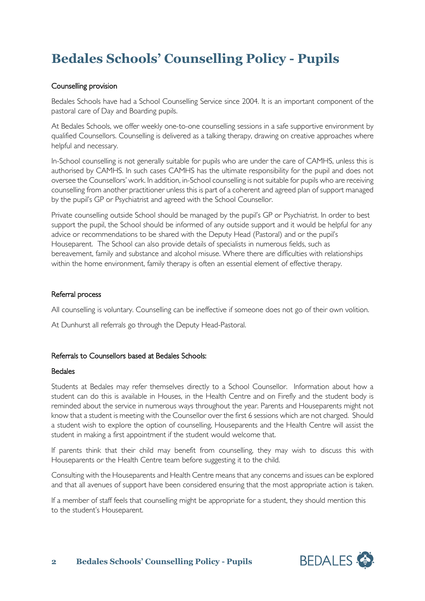# **Bedales Schools' Counselling Policy - Pupils**

### Counselling provision

Bedales Schools have had a School Counselling Service since 2004. It is an important component of the pastoral care of Day and Boarding pupils.

At Bedales Schools, we offer weekly one-to-one counselling sessions in a safe supportive environment by qualified Counsellors. Counselling is delivered as a talking therapy, drawing on creative approaches where helpful and necessary.

In-School counselling is not generally suitable for pupils who are under the care of CAMHS, unless this is authorised by CAMHS. In such cases CAMHS has the ultimate responsibility for the pupil and does not oversee the Counsellors' work. In addition, in-School counselling is not suitable for pupils who are receiving counselling from another practitioner unless this is part of a coherent and agreed plan of support managed by the pupil's GP or Psychiatrist and agreed with the School Counsellor.

Private counselling outside School should be managed by the pupil's GP or Psychiatrist. In order to best support the pupil, the School should be informed of any outside support and it would be helpful for any advice or recommendations to be shared with the Deputy Head (Pastoral) and or the pupil's Houseparent. The School can also provide details of specialists in numerous fields, such as bereavement, family and substance and alcohol misuse. Where there are difficulties with relationships within the home environment, family therapy is often an essential element of effective therapy.

#### Referral process

All counselling is voluntary. Counselling can be ineffective if someone does not go of their own volition.

At Dunhurst all referrals go through the Deputy Head-Pastoral.

# Referrals to Counsellors based at Bedales Schools:

#### Bedales

Students at Bedales may refer themselves directly to a School Counsellor. Information about how a student can do this is available in Houses, in the Health Centre and on Firefly and the student body is reminded about the service in numerous ways throughout the year. Parents and Houseparents might not know that a student is meeting with the Counsellor over the first 6 sessions which are not charged. Should a student wish to explore the option of counselling, Houseparents and the Health Centre will assist the student in making a first appointment if the student would welcome that.

If parents think that their child may benefit from counselling, they may wish to discuss this with Houseparents or the Health Centre team before suggesting it to the child.

Consulting with the Houseparents and Health Centre means that any concerns and issues can be explored and that all avenues of support have been considered ensuring that the most appropriate action is taken.

If a member of staff feels that counselling might be appropriate for a student, they should mention this to the student's Houseparent.

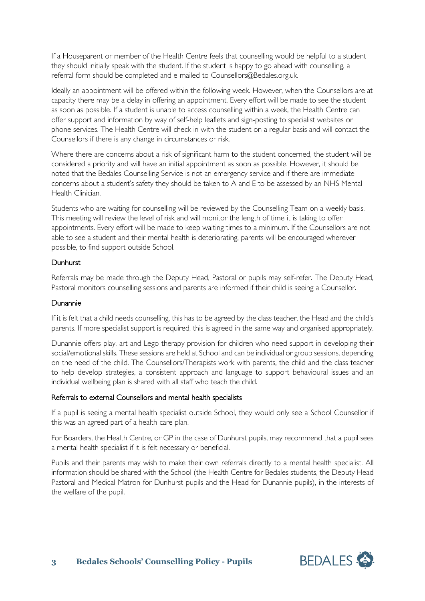If a Houseparent or member of the Health Centre feels that counselling would be helpful to a student they should initially speak with the student. If the student is happy to go ahead with counselling, a referral form should be completed and e-mailed to Counsellors@Bedales.org.uk.

Ideally an appointment will be offered within the following week. However, when the Counsellors are at capacity there may be a delay in offering an appointment. Every effort will be made to see the student as soon as possible. If a student is unable to access counselling within a week, the Health Centre can offer support and information by way of self-help leaflets and sign-posting to specialist websites or phone services. The Health Centre will check in with the student on a regular basis and will contact the Counsellors if there is any change in circumstances or risk.

Where there are concerns about a risk of significant harm to the student concerned, the student will be considered a priority and will have an initial appointment as soon as possible. However, it should be noted that the Bedales Counselling Service is not an emergency service and if there are immediate concerns about a student's safety they should be taken to A and E to be assessed by an NHS Mental Health Clinician.

Students who are waiting for counselling will be reviewed by the Counselling Team on a weekly basis. This meeting will review the level of risk and will monitor the length of time it is taking to offer appointments. Every effort will be made to keep waiting times to a minimum. If the Counsellors are not able to see a student and their mental health is deteriorating, parents will be encouraged wherever possible, to find support outside School.

#### **Dunhurst**

Referrals may be made through the Deputy Head, Pastoral or pupils may self-refer. The Deputy Head, Pastoral monitors counselling sessions and parents are informed if their child is seeing a Counsellor.

#### Dunannie

If it is felt that a child needs counselling, this has to be agreed by the class teacher, the Head and the child's parents. If more specialist support is required, this is agreed in the same way and organised appropriately.

Dunannie offers play, art and Lego therapy provision for children who need support in developing their social/emotional skills. These sessions are held at School and can be individual or group sessions, depending on the need of the child. The Counsellors/Therapists work with parents, the child and the class teacher to help develop strategies, a consistent approach and language to support behavioural issues and an individual wellbeing plan is shared with all staff who teach the child.

#### Referrals to external Counsellors and mental health specialists

If a pupil is seeing a mental health specialist outside School, they would only see a School Counsellor if this was an agreed part of a health care plan.

For Boarders, the Health Centre, or GP in the case of Dunhurst pupils, may recommend that a pupil sees a mental health specialist if it is felt necessary or beneficial.

Pupils and their parents may wish to make their own referrals directly to a mental health specialist. All information should be shared with the School (the Health Centre for Bedales students, the Deputy Head Pastoral and Medical Matron for Dunhurst pupils and the Head for Dunannie pupils), in the interests of the welfare of the pupil.

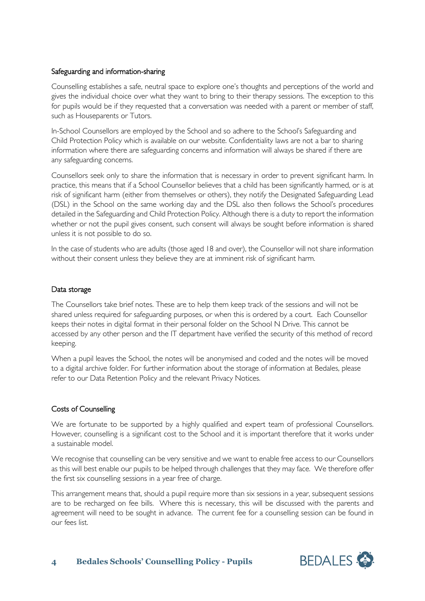# Safeguarding and information-sharing

Counselling establishes a safe, neutral space to explore one's thoughts and perceptions of the world and gives the individual choice over what they want to bring to their therapy sessions. The exception to this for pupils would be if they requested that a conversation was needed with a parent or member of staff, such as Houseparents or Tutors.

In-School Counsellors are employed by the School and so adhere to the School's Safeguarding and Child Protection Policy which is available on our website. Confidentiality laws are not a bar to sharing information where there are safeguarding concerns and information will always be shared if there are any safeguarding concerns.

Counsellors seek only to share the information that is necessary in order to prevent significant harm. In practice, this means that if a School Counsellor believes that a child has been significantly harmed, or is at risk of significant harm (either from themselves or others), they notify the Designated Safeguarding Lead (DSL) in the School on the same working day and the DSL also then follows the School's procedures detailed in the Safeguarding and Child Protection Policy. Although there is a duty to report the information whether or not the pupil gives consent, such consent will always be sought before information is shared unless it is not possible to do so.

In the case of students who are adults (those aged 18 and over), the Counsellor will not share information without their consent unless they believe they are at imminent risk of significant harm.

# Data storage

The Counsellors take brief notes. These are to help them keep track of the sessions and will not be shared unless required for safeguarding purposes, or when this is ordered by a court. Each Counsellor keeps their notes in digital format in their personal folder on the School N Drive. This cannot be accessed by any other person and the IT department have verified the security of this method of record keeping.

When a pupil leaves the School, the notes will be anonymised and coded and the notes will be moved to a digital archive folder. For further information about the storage of information at Bedales, please refer to our Data Retention Policy and the relevant Privacy Notices.

# Costs of Counselling

We are fortunate to be supported by a highly qualified and expert team of professional Counsellors. However, counselling is a significant cost to the School and it is important therefore that it works under a sustainable model.

We recognise that counselling can be very sensitive and we want to enable free access to our Counsellors as this will best enable our pupils to be helped through challenges that they may face. We therefore offer the first six counselling sessions in a year free of charge.

This arrangement means that, should a pupil require more than six sessions in a year, subsequent sessions are to be recharged on fee bills. Where this is necessary, this will be discussed with the parents and agreement will need to be sought in advance. The current fee for a counselling session can be found in our fees list.